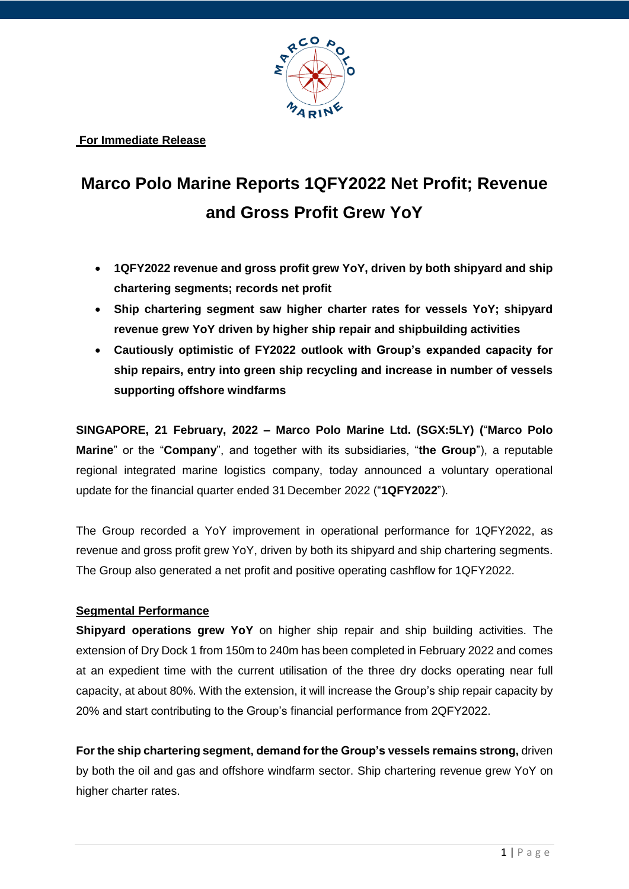

**For Immediate Release**

# **Marco Polo Marine Reports 1QFY2022 Net Profit; Revenue and Gross Profit Grew YoY**

- **1QFY2022 revenue and gross profit grew YoY, driven by both shipyard and ship chartering segments; records net profit**
- **Ship chartering segment saw higher charter rates for vessels YoY; shipyard revenue grew YoY driven by higher ship repair and shipbuilding activities**
- **Cautiously optimistic of FY2022 outlook with Group's expanded capacity for ship repairs, entry into green ship recycling and increase in number of vessels supporting offshore windfarms**

**SINGAPORE, 21 February, 2022 – Marco Polo Marine Ltd. (SGX:5LY) (**"**Marco Polo Marine**" or the "**Company**", and together with its subsidiaries, "**the Group**"), a reputable regional integrated marine logistics company, today announced a voluntary operational update for the financial quarter ended 31 December 2022 ("**1QFY2022**").

The Group recorded a YoY improvement in operational performance for 1QFY2022, as revenue and gross profit grew YoY, driven by both its shipyard and ship chartering segments. The Group also generated a net profit and positive operating cashflow for 1QFY2022.

## **Segmental Performance**

**Shipyard operations grew YoY** on higher ship repair and ship building activities. The extension of Dry Dock 1 from 150m to 240m has been completed in February 2022 and comes at an expedient time with the current utilisation of the three dry docks operating near full capacity, at about 80%. With the extension, it will increase the Group's ship repair capacity by 20% and start contributing to the Group's financial performance from 2QFY2022.

**For the ship chartering segment, demand for the Group's vessels remains strong,** driven by both the oil and gas and offshore windfarm sector. Ship chartering revenue grew YoY on higher charter rates.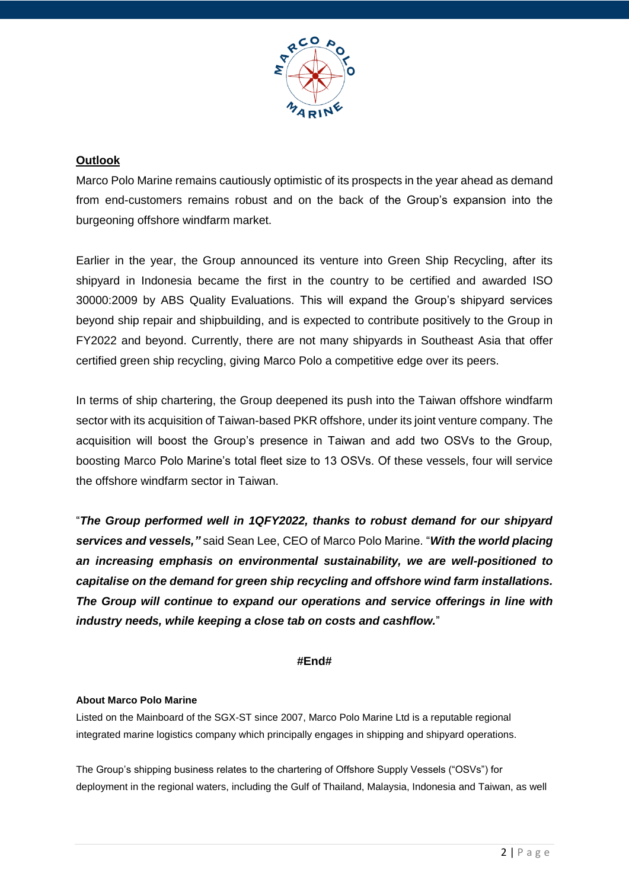

### **Outlook**

Marco Polo Marine remains cautiously optimistic of its prospects in the year ahead as demand from end-customers remains robust and on the back of the Group's expansion into the burgeoning offshore windfarm market.

Earlier in the year, the Group announced its venture into Green Ship Recycling, after its shipyard in Indonesia became the first in the country to be certified and awarded ISO 30000:2009 by ABS Quality Evaluations. This will expand the Group's shipyard services beyond ship repair and shipbuilding, and is expected to contribute positively to the Group in FY2022 and beyond. Currently, there are not many shipyards in Southeast Asia that offer certified green ship recycling, giving Marco Polo a competitive edge over its peers.

In terms of ship chartering, the Group deepened its push into the Taiwan offshore windfarm sector with its acquisition of Taiwan-based PKR offshore, under its joint venture company. The acquisition will boost the Group's presence in Taiwan and add two OSVs to the Group, boosting Marco Polo Marine's total fleet size to 13 OSVs. Of these vessels, four will service the offshore windfarm sector in Taiwan.

"*The Group performed well in 1QFY2022, thanks to robust demand for our shipyard services and vessels,"* said Sean Lee, CEO of Marco Polo Marine. "*With the world placing an increasing emphasis on environmental sustainability, we are well-positioned to capitalise on the demand for green ship recycling and offshore wind farm installations. The Group will continue to expand our operations and service offerings in line with industry needs, while keeping a close tab on costs and cashflow.*"

#### **#End#**

#### **About Marco Polo Marine**

Listed on the Mainboard of the SGX-ST since 2007, Marco Polo Marine Ltd is a reputable regional integrated marine logistics company which principally engages in shipping and shipyard operations.

The Group's shipping business relates to the chartering of Offshore Supply Vessels ("OSVs") for deployment in the regional waters, including the Gulf of Thailand, Malaysia, Indonesia and Taiwan, as well